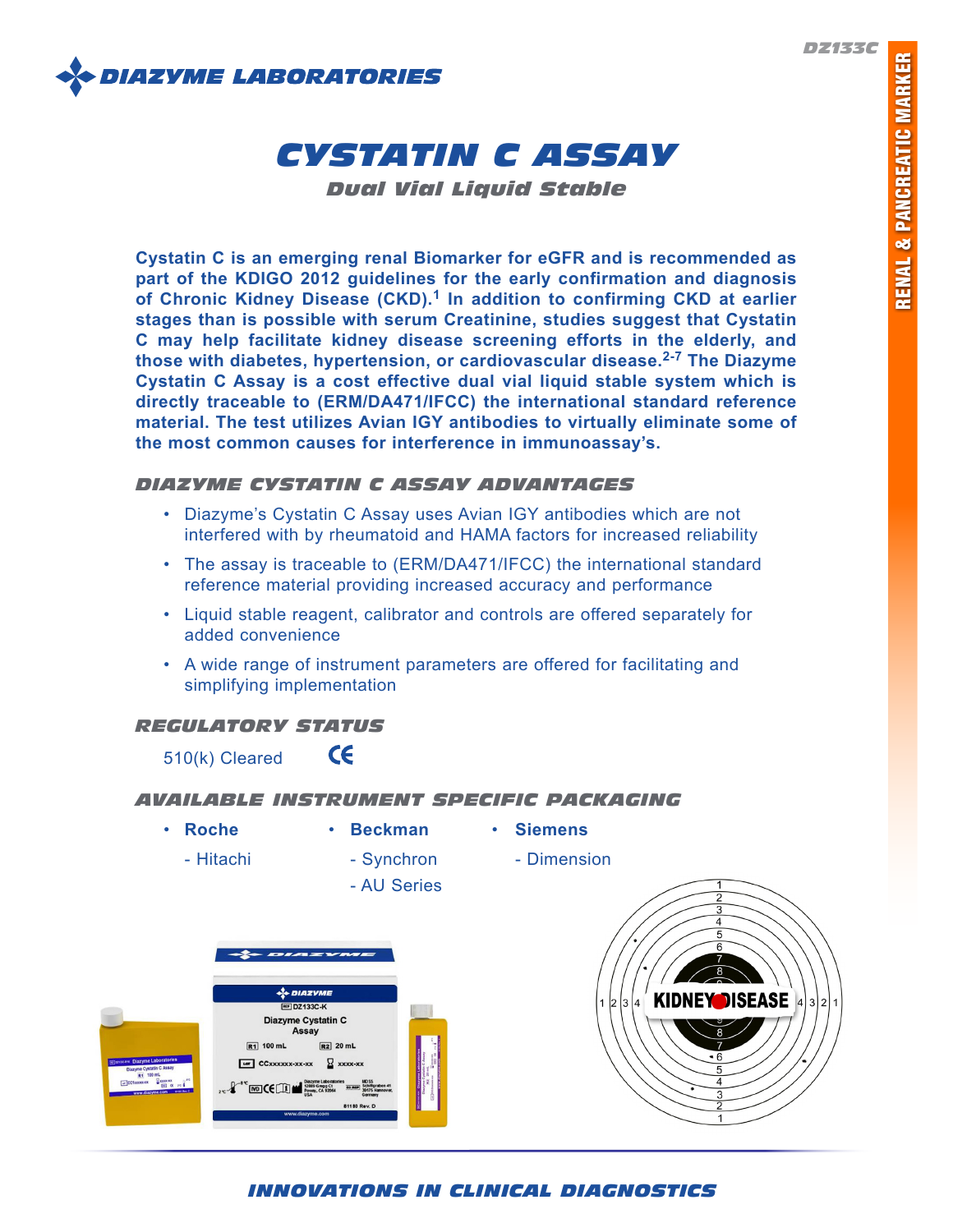

# *CYSTATIN C ASSAY*

*Dual Vial Liquid Stable*

**Cystatin C is an emerging renal Biomarker for eGFR and is recommended as part of the KDIGO 2012 guidelines for the early confirmation and diagnosis of Chronic Kidney Disease (CKD).1 In addition to confirming CKD at earlier stages than is possible with serum Creatinine, studies suggest that Cystatin C may help facilitate kidney disease screening efforts in the elderly, and those with diabetes, hypertension, or cardiovascular disease.2-7 The Diazyme Cystatin C Assay is a cost effective dual vial liquid stable system which is directly traceable to (ERM/DA471/IFCC) the international standard reference material. The test utilizes Avian IGY antibodies to virtually eliminate some of the most common causes for interference in immunoassay's.**

# *DIAZYME CYSTATIN C ASSAY ADVANTAGES*

- Diazyme's Cystatin C Assay uses Avian IGY antibodies which are not interfered with by rheumatoid and HAMA factors for increased reliability
- The assay is traceable to (ERM/DA471/IFCC) the international standard reference material providing increased accuracy and performance
- Liquid stable reagent, calibrator and controls are offered separately for added convenience
- A wide range of instrument parameters are offered for facilitating and simplifying implementation

# *REGULATORY STATUS*

 $\epsilon$ 510(k) Cleared

# *AVAILABLE INSTRUMENT SPECIFIC PACKAGING*

• **Roche** • **Beckman** • **Siemens**

- Hitachi Synchron Dimension
- 

- AU Series





# *INNOVATIONS IN CLINICAL DIAGNOSTICS*